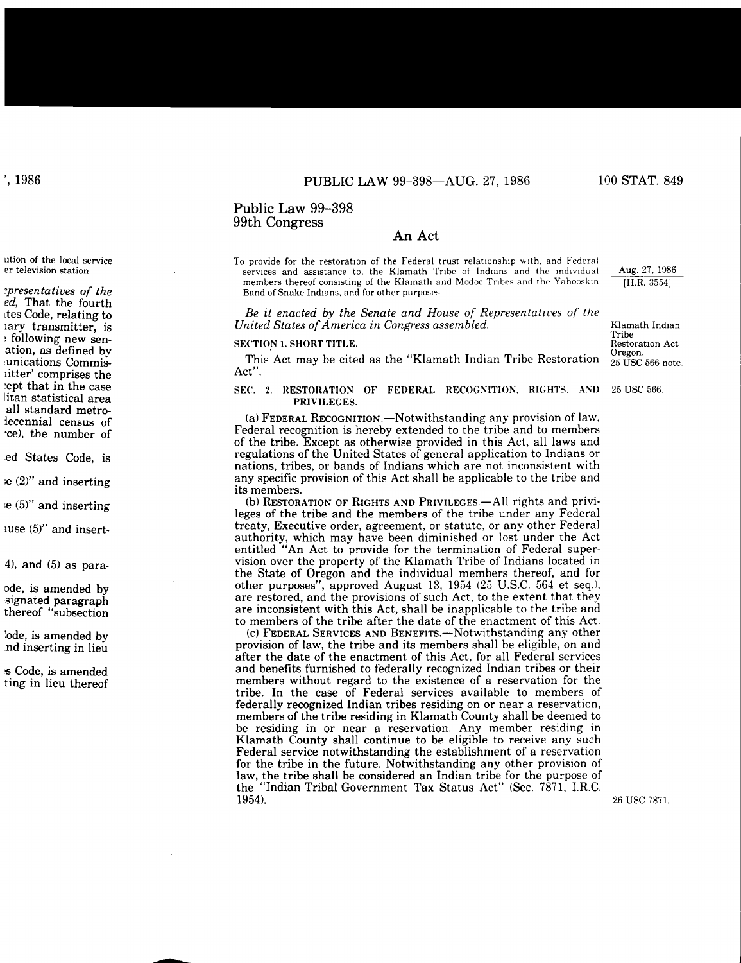# Public Law 99-398 99th Congress

# An Act

To provide for the restoration of the Federal trust relationship with. and Federal services and assistance to, the Klamath Tribe of Indians and the individual members thereof consisting of the Klamath and Modoc Tribes and the Yahooskin Band of Snake Indians, and for other purposes

Be it enacted by the Senate and House of Representatives of the *United States of America in Congress assembled,*

### SECTION **1.** SHORT TITLE.

This Act may be cited as the "Klamath Indian Tribe Restoration Act".

## SEC. 2. RESTORATION OF FEDERAL RECOGNITION. RIGHTS, AND PRIVILEGES.

(a) FEDERAL RECOGNITION.-Notwithstanding any provision of law, Federal recognition is hereby extended to the tribe and to members of the tribe. Except as otherwise provided in this Act, all laws and regulations of the United States of general application to Indians or nations, tribes, or bands of Indians which are not inconsistent with any specific provision of this Act shall be applicable to the tribe and its members.<br>(b) RESTORATION OF RIGHTS AND PRIVILEGES.—All rights and privi-

leges of the tribe and the members of the tribe under any Federal treaty, Executive order, agreement, or statute, or any other Federal authority, which may have been diminished or lost under the Act entitled "An Act to provide for the termination of Federal supervision over the property of the Klamath Tribe of Indians located in the State of Oregon and the individual members thereof, and for other purposes", approved August 13, 1954 (25 U.S.C. 564 et seq.), are restored, and the provisions of such Act, to the extent that they are inconsistent with this Act, shall be inapplicable to the tribe and to members of the tribe after the date of the enactment of this Act.

(c) **FEDERAL SERVICES AND** BENEFITS.-Notwithstanding any other provision of law, the tribe and its members shall be eligible, on and after the date of the enactment of this Act, for all Federal services and benefits furnished to federally recognized Indian tribes or their members without regard to the existence of a reservation for the tribe. In the case of Federal services available to members of federally recognized Indian tribes residing on or near a reservation, members of the tribe residing in Klamath County shall be deemed to be residing in or near a reservation. Any member residing in Klamath County shall continue to be eligible to receive any such Federal service notwithstanding the establishment of a reservation for the tribe in the future. Notwithstanding any other provision of law, the tribe shall be considered an Indian tribe for the purpose of the "Indian Tribal Government Tax Status Act" (Sec. 7871, I.R.C. 1954).

Klamath Indian Tribe Restoration Act **Oregon.** 25 USC 566 note.

Aug. 27, 1986 [H.R. 35541

25 USC 566.

26 USC 7871.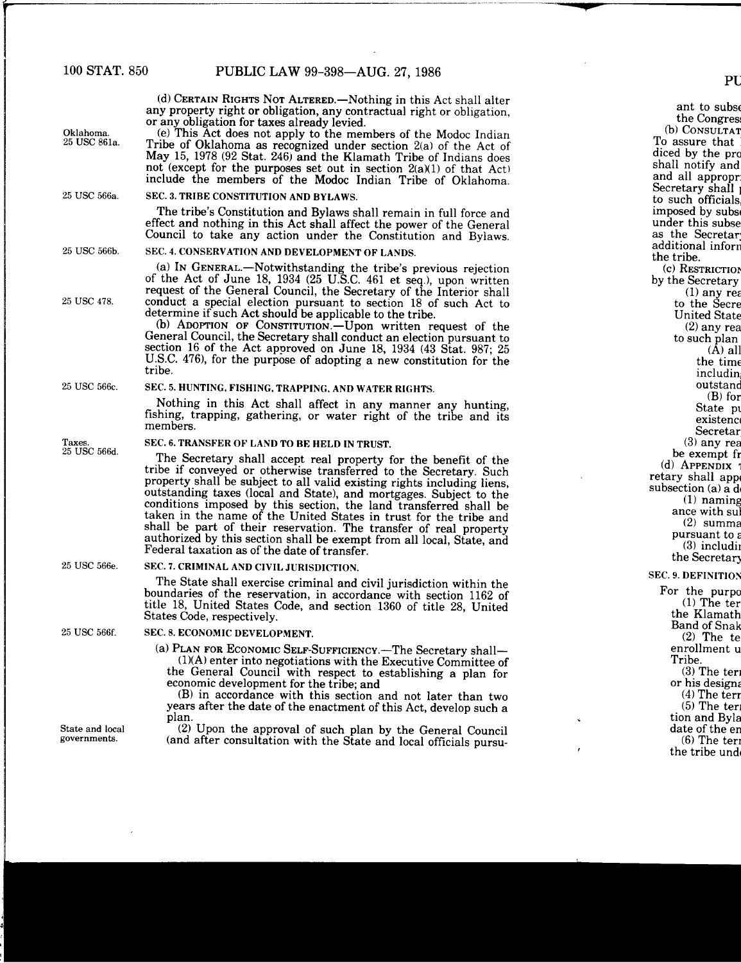(d) CERTAIN RIGHTS NOT ALTERED.-Nothing in this Act shall alter any property right or obligation, any contractual right or obligation,

or any obligation for taxes already levied.<br>(e) This Act does not apply to the members of the Modoc Indian **Oklahoma.** (e) This Act does not apply to the members of the Modoc Indian 25 USC 861a. Tribe of Oklahoma as recognized under section 2(a) of the Act of May 15, 1978 (92 Stat. 246) and the Klamath Tribe of Indians does not (except for the purposes set out in section  $2(a)(1)$  of that Act) include the members of the Modoc Indian Tribe of Oklahoma. 25 USC 566a. SEC. 3. TRIBE CONSTITUTION AND BYLAWS. The tribe's Constitution and Bylaws shall remain in full force and effect and nothing in this Act shall affect the power of the General Council to take any action under the Constitution and Bylaws. 25 USC 566b. **SEC. 4. CONSERVATION AND DEVELOPMENT OF LANDS.** (a) IN GENERAL.-Notwithstanding the tribe's previous rejection of the Act of June 18, 1934 (25 U.S.C. 461 et seq.), upon written request of the General Council, the Secretary of the Interior shall 25 USC 478. conduct a special election pursuant to section 18 of such Act to determine if such Act should be applicable to the tribe. (b) ADOPTION OF CONSTITUTION.-Upon written request of the General Council, the Secretary shall conduct an election pursuant to section 16 of the Act approved on June 18, 1934 (43 Stat. 987; 25 U.S.C. 476), for the purpose of adopting a new constitution for the tribe. 25 USC 566c. **SEC.** 5. HUNTING, FISHING, TRAPPING, AND WATER RIGHTS. Nothing in this Act shall affect in any manner any hunting, fishing, trapping, gathering, or water right of the tribe and its members. Taxes. SEC. 6. TRANSFER OF LAND TO BE HELD IN TRUST.<br>25 USC 566d. The Secretary shall accept real property for the benefit of the tribe if conveyed or otherwise transferred to the Secretary. Such property shall be subject to all valid existing rights including liens. outstanding taxes (local and State), and mortgages. Subject to the conditions imposed by this section, the land transferred shall be taken in the name of the United States in trust for the tribe and shall be part of their reservation. The transfer of real property authorized by this section shall be exempt from all local, State, and Federal taxation as of the date of transfer. 25 USC 566e. **SEC. 7. CRIMINAL AND CIVIL JURISDICTION.** The State shall exercise criminal and civil jurisdiction within the boundaries of the reservation, in accordance with section 1162 of title 18, United States Code, and section 1360 of title 28, United States Code, respectively. 25 USC 566f. SEC. 8. ECONOMIC DEVELOPMENT. (a) PLAN FOR ECONOMIC SELF-SUFFICIENCY.-The Secretary shall-(1)(A) enter into negotiations with the Executive Committee of the General Council with respect to establishing a plan for economic development for the tribe; and (B) in accordance with this section and not later than two years after the date of the enactment of this Act, develop such a plan. State and local **(2)** Upon the approval of such plan by the General Council<br>governments **(and after consultation with the State and local efficial council** (and after consultation with the State and local officials pursu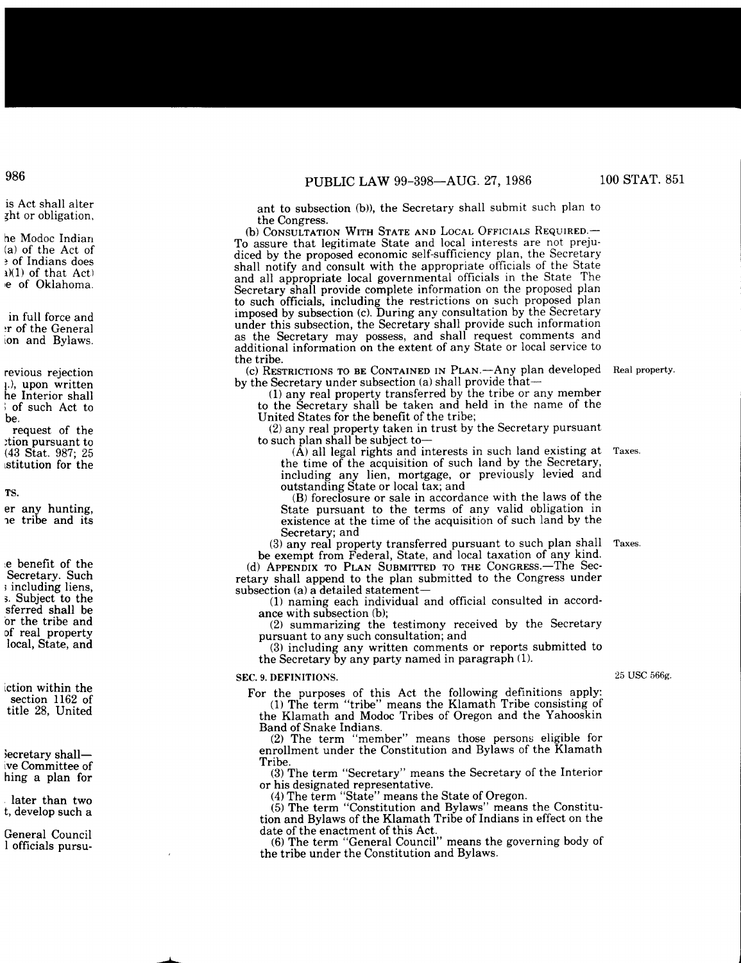ant to subsection (b)), the Secretary shall submit such plan to the Congress.

(b) CONSULTATION WITH STATE AND LOCAL OFFICIALS REQUIRED.-To assure that legitimate State and local interests are not prejudiced by the proposed economic self-sufficiency plan, the Secretary shall notify and consult with the appropriate officials of the State and all appropriate local governmental officials in the State The Secretary shall provide complete information on the proposed plan to such officials, including the restrictions on such proposed plan imposed by subsection (c). During any consultation by the Secretary under this subsection, the Secretary shall provide such information as the Secretary may possess, and shall request comments and additional information on the extent of any State or local service to the tribe.

(c) RESTRICTIONS TO BE CONTAINED IN PLAN.—Any plan developed Real property by the Secretary under subsection (a) shall provide that-

(1) any real property transferred by the tribe or any member to the Secretary shall be taken and held in the name of the United States for the benefit of the tribe;

(2) any real property taken in trust by the Secretary pursuant to such plan shall be subject to-

 $(\hat{A})$  all legal rights and interests in such land existing at the time of the acquisition of such land by the Secretary, including any lien, mortgage, or previously levied and outstanding State or local tax; and Taxes.

(B) foreclosure or sale in accordance with the laws of the State pursuant to the terms of any valid obligation in existence at the time of the acquisition of such land by the Secretary; and

(3) any real property transferred pursuant to such plan shall be exempt from Federal, State, and local taxation of any kind. Taxes.

(d) APPENDIX TO PLAN SUBMITTED TO THE CONGRESS.-The Secretary shall append to the plan submitted to the Congress under subsection (a) a detailed statement-

(1) naming each individual and official consulted in accordance with subsection (b);

(2) summarizing the testimony received by the Secretary pursuant to any such consultation; and

(3) including any written comments or reports submitted to the Secretary by any party named in paragraph (1).

## SEC. 9. DEFINITIONS.

For the purposes of this Act the following definitions apply: (1) The term "tribe" means the Klamath Tribe consisting of

the Klamath and Modoc Tribes of Oregon and the Yahooskin Band of Snake Indians.

(2) The term "member" means those persons eligible for enrollment under the Constitution and Bylaws of the Klamath Tribe.

(3) The term "Secretary" means the Secretary of the Interior or his designated representative.

(4) The term "State" means the State of Oregon.

(5) The term "Constitution and Bylaws" means the Constitution and Bylaws of the Klamath Tribe of Indians in effect on the date of the enactment of this Act.

(6) The term "General Council" means the governing body of the tribe under the Constitution and Bylaws.

25 **USC** 566g.